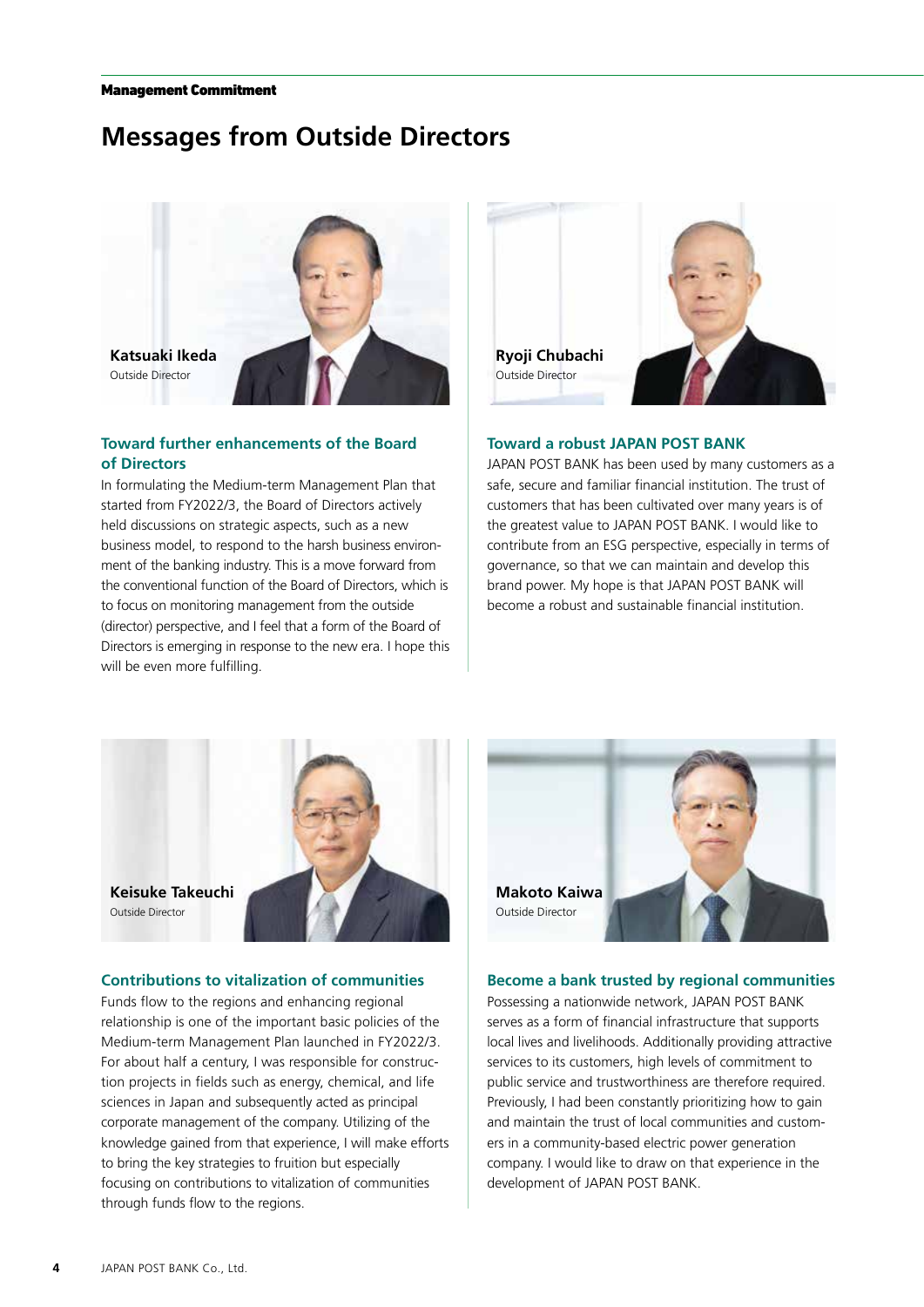# **Messages from Outside Directors**



## **Toward further enhancements of the Board of Directors**

In formulating the Medium-term Management Plan that started from FY2022/3, the Board of Directors actively held discussions on strategic aspects, such as a new business model, to respond to the harsh business environment of the banking industry. This is a move forward from the conventional function of the Board of Directors, which is to focus on monitoring management from the outside (director) perspective, and I feel that a form of the Board of Directors is emerging in response to the new era. I hope this will be even more fulfilling.



#### **Toward a robust JAPAN POST BANK**

JAPAN POST BANK has been used by many customers as a safe, secure and familiar financial institution. The trust of customers that has been cultivated over many years is of the greatest value to JAPAN POST BANK. I would like to contribute from an ESG perspective, especially in terms of governance, so that we can maintain and develop this brand power. My hope is that JAPAN POST BANK will become a robust and sustainable financial institution.



## **Contributions to vitalization of communities**

Funds flow to the regions and enhancing regional relationship is one of the important basic policies of the Medium-term Management Plan launched in FY2022/3. For about half a century, I was responsible for construction projects in fields such as energy, chemical, and life sciences in Japan and subsequently acted as principal corporate management of the company. Utilizing of the knowledge gained from that experience, I will make efforts to bring the key strategies to fruition but especially focusing on contributions to vitalization of communities through funds flow to the regions.



#### **Become a bank trusted by regional communities**

Possessing a nationwide network, JAPAN POST BANK serves as a form of financial infrastructure that supports local lives and livelihoods. Additionally providing attractive services to its customers, high levels of commitment to public service and trustworthiness are therefore required. Previously, I had been constantly prioritizing how to gain and maintain the trust of local communities and customers in a community-based electric power generation company. I would like to draw on that experience in the development of JAPAN POST BANK.